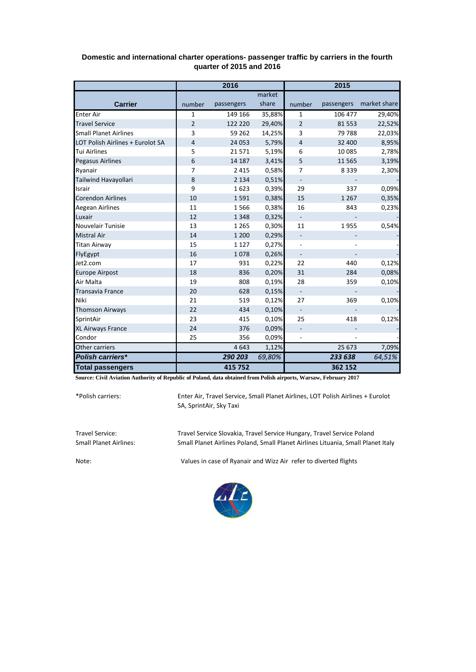|                                  | 2016           |            |        | 2015                     |            |              |
|----------------------------------|----------------|------------|--------|--------------------------|------------|--------------|
|                                  |                |            | market |                          |            |              |
| <b>Carrier</b>                   | number         | passengers | share  | number                   | passengers | market share |
| <b>Enter Air</b>                 | 1              | 149 166    | 35,88% | 1                        | 106 477    | 29,40%       |
| <b>Travel Service</b>            | $\overline{2}$ | 122 220    | 29,40% | $\overline{2}$           | 81 5 53    | 22,52%       |
| <b>Small Planet Airlines</b>     | 3              | 59 262     | 14,25% | 3                        | 79 788     | 22,03%       |
| LOT Polish Airlines + Eurolot SA | 4              | 24 053     | 5,79%  | $\overline{4}$           | 32 400     | 8,95%        |
| <b>Tui Airlines</b>              | 5              | 21571      | 5,19%  | 6                        | 10 085     | 2,78%        |
| <b>Pegasus Airlines</b>          | 6              | 14 187     | 3,41%  | 5                        | 11 5 6 5   | 3,19%        |
| Ryanair                          | $\overline{7}$ | 2 4 1 5    | 0,58%  | 7                        | 8 3 3 9    | 2,30%        |
| Tailwind Havayollari             | 8              | 2 1 3 4    | 0,51%  | $\blacksquare$           |            |              |
| Israir                           | 9              | 1623       | 0,39%  | 29                       | 337        | 0,09%        |
| <b>Corendon Airlines</b>         | 10             | 1591       | 0,38%  | 15                       | 1 2 6 7    | 0,35%        |
| Aegean Airlines                  | 11             | 1566       | 0,38%  | 16                       | 843        | 0,23%        |
| Luxair                           | 12             | 1 3 4 8    | 0,32%  | $\overline{\phantom{a}}$ |            |              |
| Nouvelair Tunisie                | 13             | 1 2 6 5    | 0,30%  | 11                       | 1955       | 0,54%        |
| <b>Mistral Air</b>               | 14             | 1 2 0 0    | 0,29%  | $\frac{1}{2}$            |            |              |
| <b>Titan Airway</b>              | 15             | 1 1 2 7    | 0,27%  | $\overline{\phantom{0}}$ |            |              |
| FlyEgypt                         | 16             | 1078       | 0,26%  |                          |            |              |
| Jet2.com                         | 17             | 931        | 0,22%  | 22                       | 440        | 0,12%        |
| <b>Europe Airpost</b>            | 18             | 836        | 0,20%  | 31                       | 284        | 0,08%        |
| Air Malta                        | 19             | 808        | 0,19%  | 28                       | 359        | 0,10%        |
| <b>Transavia France</b>          | 20             | 628        | 0,15%  | $\overline{\phantom{a}}$ |            |              |
| Niki                             | 21             | 519        | 0,12%  | 27                       | 369        | 0,10%        |
| <b>Thomson Airways</b>           | 22             | 434        | 0,10%  | $\blacksquare$           |            |              |
| SprintAir                        | 23             | 415        | 0,10%  | 25                       | 418        | 0,12%        |
| XL Airways France                | 24             | 376        | 0,09%  | $\overline{\phantom{0}}$ |            |              |
| Condor                           | 25             | 356        | 0,09%  |                          |            |              |
| Other carriers                   |                | 4643       | 1,12%  |                          | 25 673     | 7,09%        |
| <b>Polish carriers*</b>          |                | 290 203    | 69,80% |                          | 233 638    | 64,51%       |
| <b>Total passengers</b>          |                | 415 752    |        |                          | 362 152    |              |

## **Domestic and international charter operations- passenger traffic by carriers in the fourth quarter of 2015 and 2016**

**Source: Civil Aviation Authority of Republic of Poland, data obtained from Polish airports, Warsaw, February 2017**

\*Polish carriers:

Enter Air, Travel Service, Small Planet Airlines, LOT Polish Airlines + Eurolot SA, SprintAir, Sky Taxi

Travel Service: Travel Service Slovakia, Travel Service Hungary, Travel Service Poland Small Planet Airlines Poland, Small Planet Airlines Lituania, Small Planet Italy

Note: Values in case of Ryanair and Wizz Air refer to diverted flights